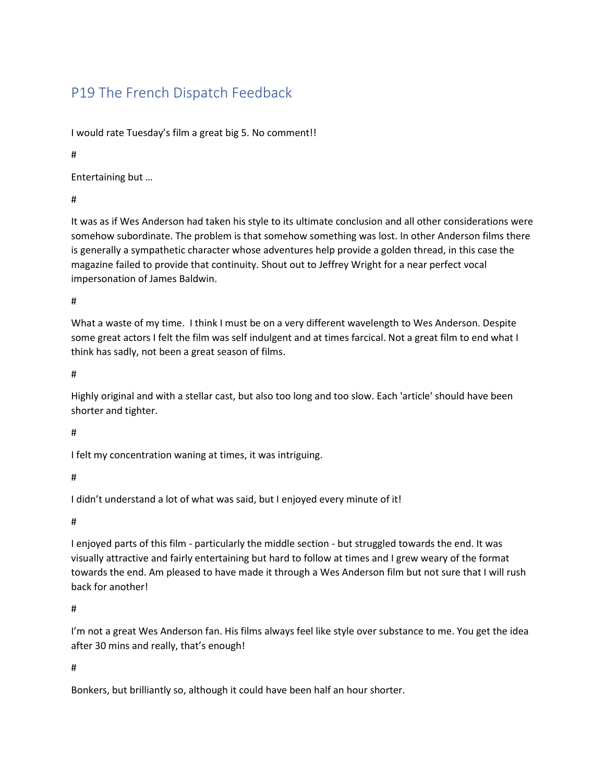## P19 The French Dispatch Feedback

I would rate Tuesday's film a great big 5. No comment!!

#

Entertaining but …

#

It was as if Wes Anderson had taken his style to its ultimate conclusion and all other considerations were somehow subordinate. The problem is that somehow something was lost. In other Anderson films there is generally a sympathetic character whose adventures help provide a golden thread, in this case the magazine failed to provide that continuity. Shout out to Jeffrey Wright for a near perfect vocal impersonation of James Baldwin.

#

What a waste of my time. I think I must be on a very different wavelength to Wes Anderson. Despite some great actors I felt the film was self indulgent and at times farcical. Not a great film to end what I think has sadly, not been a great season of films.

#

Highly original and with a stellar cast, but also too long and too slow. Each 'article' should have been shorter and tighter.

#

I felt my concentration waning at times, it was intriguing.

#

I didn't understand a lot of what was said, but I enjoyed every minute of it!

#

I enjoyed parts of this film - particularly the middle section - but struggled towards the end. It was visually attractive and fairly entertaining but hard to follow at times and I grew weary of the format towards the end. Am pleased to have made it through a Wes Anderson film but not sure that I will rush back for another!

#

I'm not a great Wes Anderson fan. His films always feel like style over substance to me. You get the idea after 30 mins and really, that's enough!

#

Bonkers, but brilliantly so, although it could have been half an hour shorter.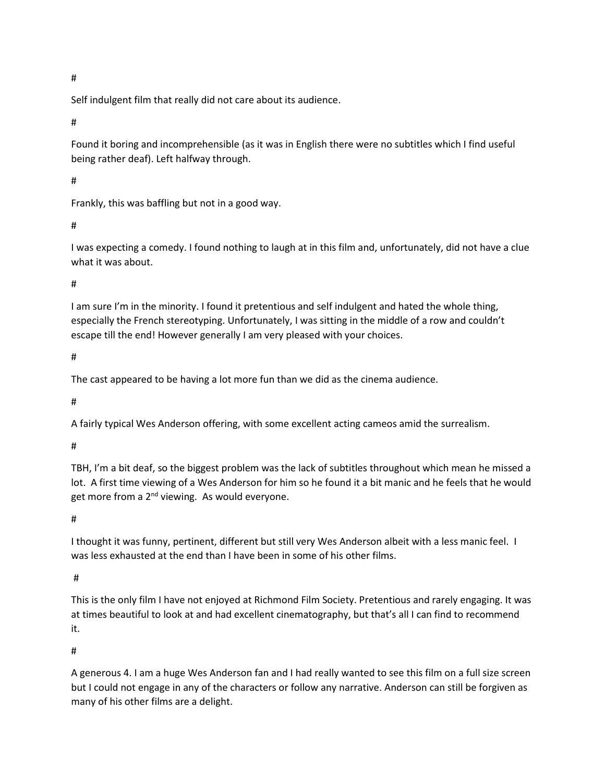#

Self indulgent film that really did not care about its audience.

#

Found it boring and incomprehensible (as it was in English there were no subtitles which I find useful being rather deaf). Left halfway through.

#

Frankly, this was baffling but not in a good way.

#

I was expecting a comedy. I found nothing to laugh at in this film and, unfortunately, did not have a clue what it was about.

#

I am sure I'm in the minority. I found it pretentious and self indulgent and hated the whole thing, especially the French stereotyping. Unfortunately, I was sitting in the middle of a row and couldn't escape till the end! However generally I am very pleased with your choices.

#

The cast appeared to be having a lot more fun than we did as the cinema audience.

#

A fairly typical Wes Anderson offering, with some excellent acting cameos amid the surrealism.

#

TBH, I'm a bit deaf, so the biggest problem was the lack of subtitles throughout which mean he missed a lot. A first time viewing of a Wes Anderson for him so he found it a bit manic and he feels that he would get more from a  $2<sup>nd</sup>$  viewing. As would everyone.

#

I thought it was funny, pertinent, different but still very Wes Anderson albeit with a less manic feel. I was less exhausted at the end than I have been in some of his other films.

#

This is the only film I have not enjoyed at Richmond Film Society. Pretentious and rarely engaging. It was at times beautiful to look at and had excellent cinematography, but that's all I can find to recommend it.

#

A generous 4. I am a huge Wes Anderson fan and I had really wanted to see this film on a full size screen but I could not engage in any of the characters or follow any narrative. Anderson can still be forgiven as many of his other films are a delight.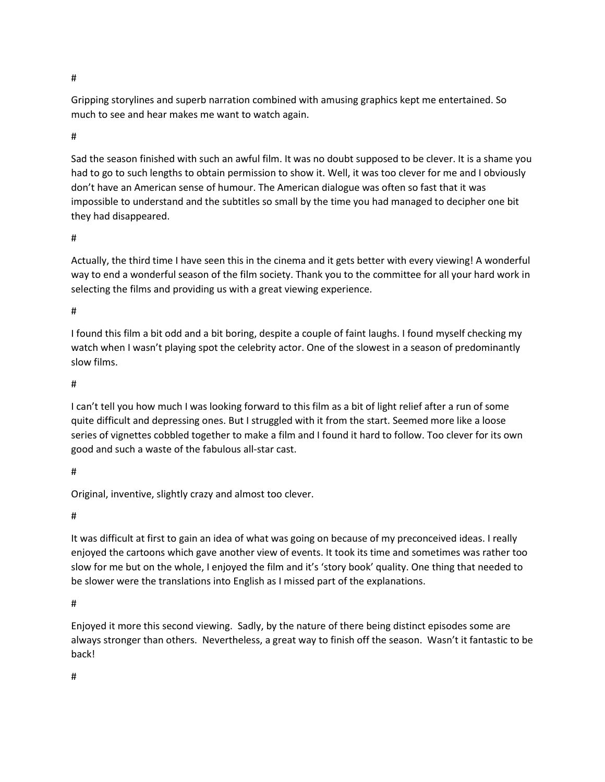#

Gripping storylines and superb narration combined with amusing graphics kept me entertained. So much to see and hear makes me want to watch again.

#

Sad the season finished with such an awful film. It was no doubt supposed to be clever. It is a shame you had to go to such lengths to obtain permission to show it. Well, it was too clever for me and I obviously don't have an American sense of humour. The American dialogue was often so fast that it was impossible to understand and the subtitles so small by the time you had managed to decipher one bit they had disappeared.

#

Actually, the third time I have seen this in the cinema and it gets better with every viewing! A wonderful way to end a wonderful season of the film society. Thank you to the committee for all your hard work in selecting the films and providing us with a great viewing experience.

#

I found this film a bit odd and a bit boring, despite a couple of faint laughs. I found myself checking my watch when I wasn't playing spot the celebrity actor. One of the slowest in a season of predominantly slow films.

#

I can't tell you how much I was looking forward to this film as a bit of light relief after a run of some quite difficult and depressing ones. But I struggled with it from the start. Seemed more like a loose series of vignettes cobbled together to make a film and I found it hard to follow. Too clever for its own good and such a waste of the fabulous all-star cast.

#

Original, inventive, slightly crazy and almost too clever.

#

It was difficult at first to gain an idea of what was going on because of my preconceived ideas. I really enjoyed the cartoons which gave another view of events. It took its time and sometimes was rather too slow for me but on the whole, I enjoyed the film and it's 'story book' quality. One thing that needed to be slower were the translations into English as I missed part of the explanations.

#

Enjoyed it more this second viewing. Sadly, by the nature of there being distinct episodes some are always stronger than others. Nevertheless, a great way to finish off the season. Wasn't it fantastic to be back!

#